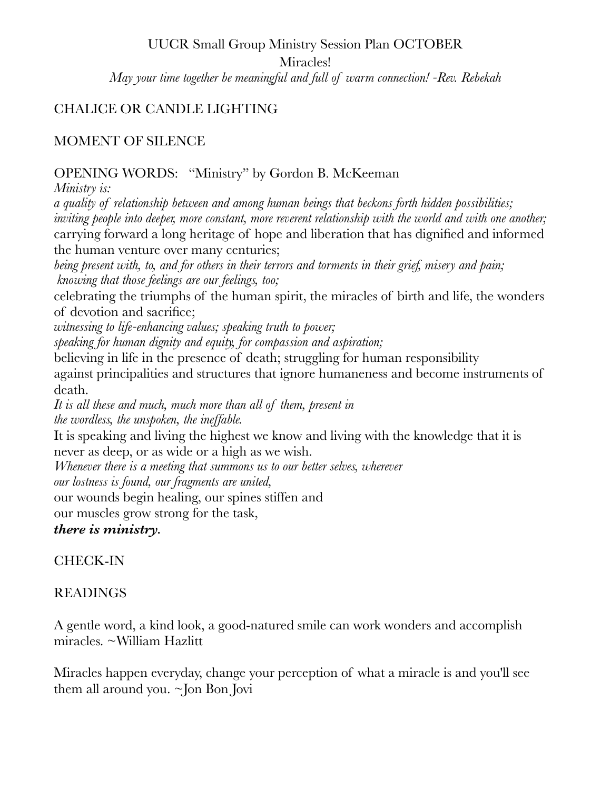# UUCR Small Group Ministry Session Plan OCTOBER Miracles! *May your time together be meaningful and full of warm connection! -Rev. Rebekah*

### CHALICE OR CANDLE LIGHTING

#### MOMENT OF SILENCE

#### OPENING WORDS: "Ministry" by Gordon B. McKeeman

*Ministry is: a quality of relationship between and among human beings that beckons forth hidden possibilities; inviting people into deeper, more constant, more reverent relationship with the world and with one another;*  carrying forward a long heritage of hope and liberation that has dignified and informed the human venture over many centuries;

*being present with, to, and for others in their terrors and torments in their grief, misery and pain; knowing that those feelings are our feelings, too;* 

celebrating the triumphs of the human spirit, the miracles of birth and life, the wonders of devotion and sacrifice;

*witnessing to life-enhancing values; speaking truth to power;* 

*speaking for human dignity and equity, for compassion and aspiration;* 

believing in life in the presence of death; struggling for human responsibility against principalities and structures that ignore humaneness and become instruments of death.

*It is all these and much, much more than all of them, present in the wordless, the unspoken, the ineffable.* 

It is speaking and living the highest we know and living with the knowledge that it is never as deep, or as wide or a high as we wish.

*Whenever there is a meeting that summons us to our better selves, wherever* 

*our lostness is found, our fragments are united,* 

our wounds begin healing, our spines stiffen and

our muscles grow strong for the task,

*there is ministry.*

# CHECK-IN

# READINGS

A gentle word, a kind look, a good-natured smile can work wonders and accomplish miracles. ~William Hazlitt

Miracles happen everyday, change your perception of what a miracle is and you'll see them all around you. ~Jon Bon Jovi